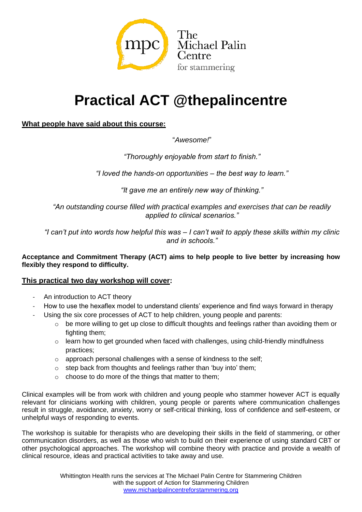

# **Practical ACT @thepalincentre**

## **What people have said about this course:**

"*Awesome!*"

*"Thoroughly enjoyable from start to finish."*

*"I loved the hands-on opportunities – the best way to learn."*

*"It gave me an entirely new way of thinking."*

*"An outstanding course filled with practical examples and exercises that can be readily applied to clinical scenarios."*

*"I can't put into words how helpful this was – I can't wait to apply these skills within my clinic and in schools."*

**Acceptance and Commitment Therapy (ACT) aims to help people to live better by increasing how flexibly they respond to difficulty.** 

### **This practical two day workshop will cover:**

- An introduction to ACT theory
- How to use the hexaflex model to understand clients' experience and find ways forward in therapy
- Using the six core processes of ACT to help children, young people and parents:
	- $\circ$  be more willing to get up close to difficult thoughts and feelings rather than avoiding them or fighting them;
	- $\circ$  learn how to get grounded when faced with challenges, using child-friendly mindfulness practices;
	- $\circ$  approach personal challenges with a sense of kindness to the self;
	- o step back from thoughts and feelings rather than 'buy into' them;
	- o choose to do more of the things that matter to them;

Clinical examples will be from work with children and young people who stammer however ACT is equally relevant for clinicians working with children, young people or parents where communication challenges result in struggle, avoidance, anxiety, worry or self-critical thinking, loss of confidence and self-esteem, or unhelpful ways of responding to events.

The workshop is suitable for therapists who are developing their skills in the field of stammering, or other communication disorders, as well as those who wish to build on their experience of using standard CBT or other psychological approaches. The workshop will combine theory with practice and provide a wealth of clinical resource, ideas and practical activities to take away and use.